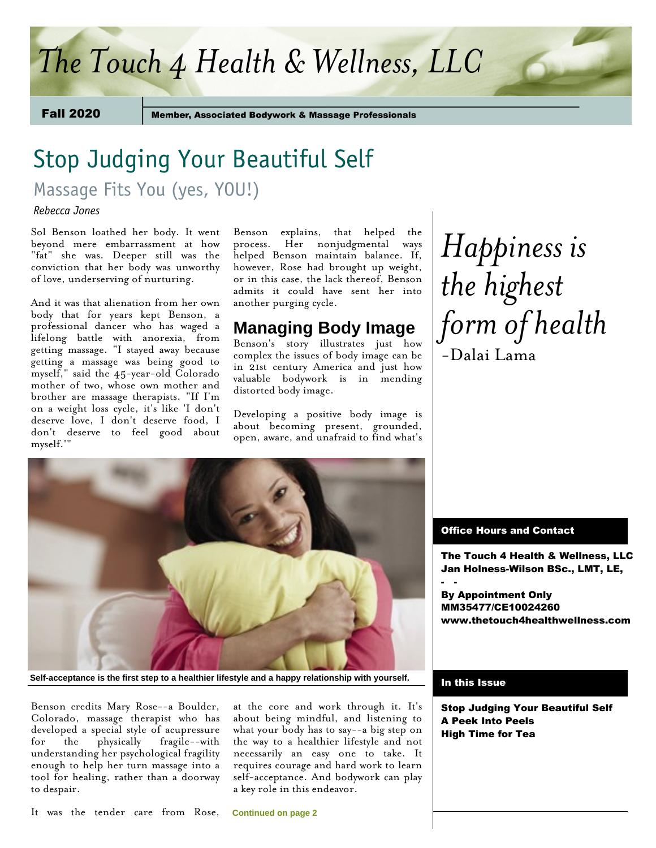## *The Touch 4 Health & Wellness, LLC*

Fall 2020

**Member, Associated Bodywork & Massage Professionals** 

# Stop Judging Your Beautiful Self

Massage Fits You (yes, YOU!)

*Rebecca Jones* 

Sol Benson loathed her body. It went beyond mere embarrassment at how "fat" she was. Deeper still was the conviction that her body was unworthy of love, underserving of nurturing.

And it was that alienation from her own body that for years kept Benson, a professional dancer who has waged a lifelong battle with anorexia, from getting massage. "I stayed away because getting a massage was being good to myself," said the 45-year-old Colorado mother of two, whose own mother and brother are massage therapists. "If I'm on a weight loss cycle, it's like 'I don't deserve love, I don't deserve food, I don't deserve to feel good about myself.'"

Benson explains, that helped the process. Her nonjudgmental ways helped Benson maintain balance. If, however, Rose had brought up weight, or in this case, the lack thereof, Benson admits it could have sent her into another purging cycle.

## **Managing Body Image**

Benson's story illustrates just how complex the issues of body image can be in 21st century America and just how valuable bodywork is in mending distorted body image.

Developing a positive body image is about becoming present, grounded, open, aware, and unafraid to find what's





**Self-acceptance is the first step to a healthier lifestyle and a happy relationship with yourself.**

Benson credits Mary Rose--a Boulder, Colorado, massage therapist who has developed a special style of acupressure for the physically fragile--with understanding her psychological fragility enough to help her turn massage into a tool for healing, rather than a doorway to despair.

It was the tender care from Rose,

at the core and work through it. It's about being mindful, and listening to what your body has to say--a big step on the way to a healthier lifestyle and not necessarily an easy one to take. It requires courage and hard work to learn self-acceptance. And bodywork can play a key role in this endeavor.

### Office Hours and Contact

The Touch 4 Health & Wellness, LLC Jan Holness-Wilson BSc., LMT, LE, - -

By Appointment Only MM35477/CE10024260 www.thetouch4healthwellness.com

#### In this Issue

Stop Judging Your Beautiful Self A Peek Into Peels High Time for Tea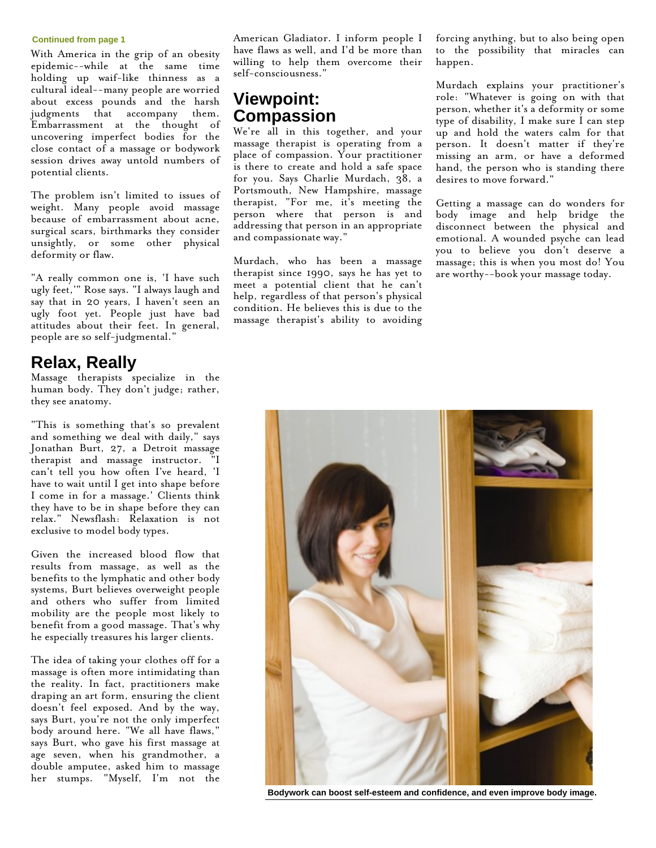#### **Continued from page 1**

With America in the grip of an obesity epidemic--while at the same time holding up waif-like thinness as a cultural ideal--many people are worried about excess pounds and the harsh judgments that accompany them. Embarrassment at the thought of uncovering imperfect bodies for the close contact of a massage or bodywork session drives away untold numbers of potential clients.

The problem isn't limited to issues of weight. Many people avoid massage because of embarrassment about acne, surgical scars, birthmarks they consider unsightly, or some other physical deformity or flaw.

"A really common one is, 'I have such ugly feet,'" Rose says. "I always laugh and say that in 20 years, I haven't seen an ugly foot yet. People just have bad attitudes about their feet. In general, people are so self-judgmental."

### **Relax, Really**

Massage therapists specialize in the human body. They don't judge; rather, they see anatomy.

"This is something that's so prevalent and something we deal with daily," says Jonathan Burt, 27, a Detroit massage therapist and massage instructor. "I can't tell you how often I've heard, 'I have to wait until I get into shape before I come in for a massage.' Clients think they have to be in shape before they can relax." Newsflash: Relaxation is not exclusive to model body types.

Given the increased blood flow that results from massage, as well as the benefits to the lymphatic and other body systems, Burt believes overweight people and others who suffer from limited mobility are the people most likely to benefit from a good massage. That's why he especially treasures his larger clients.

The idea of taking your clothes off for a massage is often more intimidating than the reality. In fact, practitioners make draping an art form, ensuring the client doesn't feel exposed. And by the way, says Burt, you're not the only imperfect body around here. "We all have flaws," says Burt, who gave his first massage at age seven, when his grandmother, a double amputee, asked him to massage her stumps. "Myself, I'm not the

American Gladiator. I inform people I have flaws as well, and I'd be more than willing to help them overcome their self-consciousness."

### **Viewpoint: Compassion**

We're all in this together, and your massage therapist is operating from a place of compassion. Your practitioner is there to create and hold a safe space for you. Says Charlie Murdach, 38, a Portsmouth, New Hampshire, massage therapist, "For me, it's meeting the person where that person is and addressing that person in an appropriate and compassionate way."

Murdach, who has been a massage therapist since 1990, says he has yet to meet a potential client that he can't help, regardless of that person's physical condition. He believes this is due to the massage therapist's ability to avoiding

forcing anything, but to also being open to the possibility that miracles can happen.

Murdach explains your practitioner's role: "Whatever is going on with that person, whether it's a deformity or some type of disability, I make sure I can step up and hold the waters calm for that person. It doesn't matter if they're missing an arm, or have a deformed hand, the person who is standing there desires to move forward."

Getting a massage can do wonders for body image and help bridge the disconnect between the physical and emotional. A wounded psyche can lead you to believe you don't deserve a massage; this is when you most do! You are worthy--book your massage today.



**Bodywork can boost self-esteem and confidence, and even improve body image.**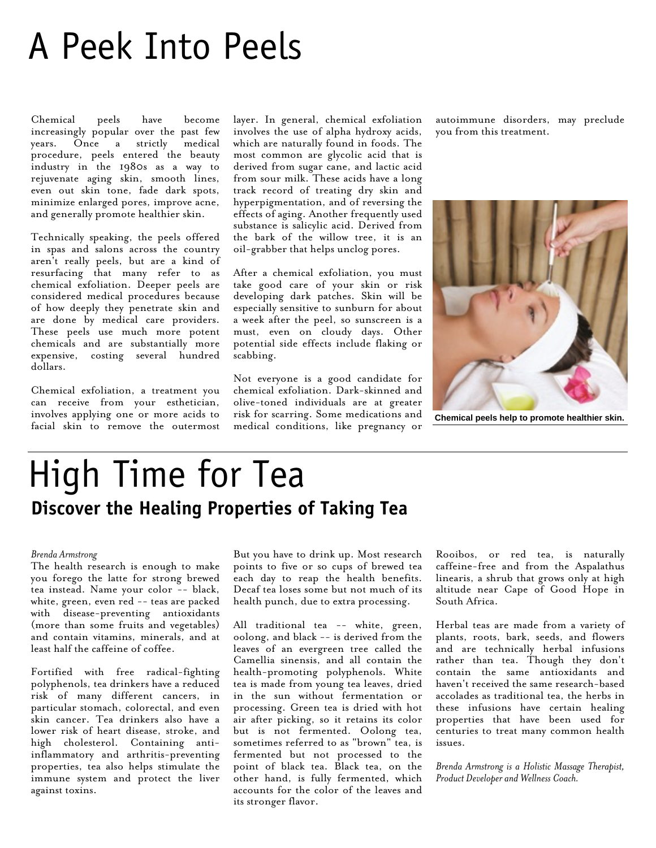# A Peek Into Peels

Chemical peels have become increasingly popular over the past few years. Once a strictly medical procedure, peels entered the beauty industry in the 1980s as a way to rejuvenate aging skin, smooth lines, even out skin tone, fade dark spots, minimize enlarged pores, improve acne, and generally promote healthier skin.

Technically speaking, the peels offered in spas and salons across the country aren't really peels, but are a kind of resurfacing that many refer to as chemical exfoliation. Deeper peels are considered medical procedures because of how deeply they penetrate skin and are done by medical care providers. These peels use much more potent chemicals and are substantially more expensive, costing several hundred dollars.

Chemical exfoliation, a treatment you can receive from your esthetician, involves applying one or more acids to facial skin to remove the outermost layer. In general, chemical exfoliation involves the use of alpha hydroxy acids, which are naturally found in foods. The most common are glycolic acid that is derived from sugar cane, and lactic acid from sour milk. These acids have a long track record of treating dry skin and hyperpigmentation, and of reversing the effects of aging. Another frequently used substance is salicylic acid. Derived from the bark of the willow tree, it is an oil-grabber that helps unclog pores.

After a chemical exfoliation, you must take good care of your skin or risk developing dark patches. Skin will be especially sensitive to sunburn for about a week after the peel, so sunscreen is a must, even on cloudy days. Other potential side effects include flaking or scabbing.

Not everyone is a good candidate for chemical exfoliation. Dark-skinned and olive-toned individuals are at greater risk for scarring. Some medications and medical conditions, like pregnancy or

autoimmune disorders, may preclude you from this treatment.



**Chemical peels help to promote healthier skin.**

## High Time for Tea **Discover the Healing Properties of Taking Tea**

#### *Brenda Armstrong*

The health research is enough to make you forego the latte for strong brewed tea instead. Name your color -- black, white, green, even red -- teas are packed with disease-preventing antioxidants (more than some fruits and vegetables) and contain vitamins, minerals, and at least half the caffeine of coffee.

Fortified with free radical-fighting polyphenols, tea drinkers have a reduced risk of many different cancers, in particular stomach, colorectal, and even skin cancer. Tea drinkers also have a lower risk of heart disease, stroke, and high cholesterol. Containing antiinflammatory and arthritis-preventing properties, tea also helps stimulate the immune system and protect the liver against toxins.

But you have to drink up. Most research points to five or so cups of brewed tea each day to reap the health benefits. Decaf tea loses some but not much of its health punch, due to extra processing.

All traditional tea -- white, green, oolong, and black -- is derived from the leaves of an evergreen tree called the Camellia sinensis, and all contain the health-promoting polyphenols. White tea is made from young tea leaves, dried in the sun without fermentation or processing. Green tea is dried with hot air after picking, so it retains its color but is not fermented. Oolong tea, sometimes referred to as "brown" tea, is fermented but not processed to the point of black tea. Black tea, on the other hand, is fully fermented, which accounts for the color of the leaves and its stronger flavor.

Rooibos, or red tea, is naturally caffeine-free and from the Aspalathus linearis, a shrub that grows only at high altitude near Cape of Good Hope in South Africa.

Herbal teas are made from a variety of plants, roots, bark, seeds, and flowers and are technically herbal infusions rather than tea. Though they don't contain the same antioxidants and haven't received the same research-based accolades as traditional tea, the herbs in these infusions have certain healing properties that have been used for centuries to treat many common health issues.

*Brenda Armstrong is a Holistic Massage Therapist, Product Developer and Wellness Coach.*